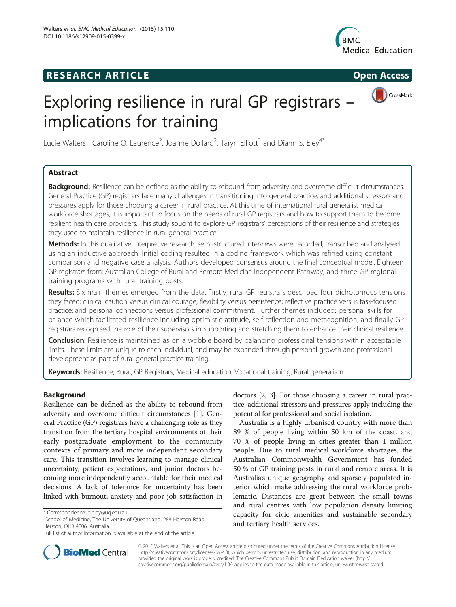## **RESEARCH ARTICLE Example 2014 CONSIDERING CONSIDERING CONSIDERING CONSIDERING CONSIDERING CONSIDERING CONSIDERING CONSIDERING CONSIDERING CONSIDERING CONSIDERING CONSIDERING CONSIDERING CONSIDERING CONSIDERING CONSIDE**



CrossMark

# Exploring resilience in rural GP registrars – implications for training

Lucie Walters<sup>1</sup>, Caroline O. Laurence<sup>2</sup>, Joanne Dollard<sup>2</sup>, Taryn Elliott<sup>3</sup> and Diann S. Eley<sup>4\*</sup>

## Abstract

Background: Resilience can be defined as the ability to rebound from adversity and overcome difficult circumstances. General Practice (GP) registrars face many challenges in transitioning into general practice, and additional stressors and pressures apply for those choosing a career in rural practice. At this time of international rural generalist medical workforce shortages, it is important to focus on the needs of rural GP registrars and how to support them to become resilient health care providers. This study sought to explore GP registrars' perceptions of their resilience and strategies they used to maintain resilience in rural general practice.

Methods: In this qualitative interpretive research, semi-structured interviews were recorded, transcribed and analysed using an inductive approach. Initial coding resulted in a coding framework which was refined using constant comparison and negative case analysis. Authors developed consensus around the final conceptual model. Eighteen GP registrars from: Australian College of Rural and Remote Medicine Independent Pathway, and three GP regional training programs with rural training posts.

Results: Six main themes emerged from the data. Firstly, rural GP registrars described four dichotomous tensions they faced: clinical caution versus clinical courage; flexibility versus persistence; reflective practice versus task-focused practice; and personal connections versus professional commitment. Further themes included: personal skills for balance which facilitated resilience including optimistic attitude, self-reflection and metacognition; and finally GP registrars recognised the role of their supervisors in supporting and stretching them to enhance their clinical resilience.

**Conclusion:** Resilience is maintained as on a wobble board by balancing professional tensions within acceptable limits. These limits are unique to each individual, and may be expanded through personal growth and professional development as part of rural general practice training.

Keywords: Resilience, Rural, GP Registrars, Medical education, Vocational training, Rural generalism

## Background

Resilience can be defined as the ability to rebound from adversity and overcome difficult circumstances [\[1](#page-6-0)]. General Practice (GP) registrars have a challenging role as they transition from the tertiary hospital environments of their early postgraduate employment to the community contexts of primary and more independent secondary care. This transition involves learning to manage clinical uncertainty, patient expectations, and junior doctors becoming more independently accountable for their medical decisions. A lack of tolerance for uncertainty has been linked with burnout, anxiety and poor job satisfaction in

doctors [\[2](#page-6-0), [3\]](#page-6-0). For those choosing a career in rural practice, additional stressors and pressures apply including the potential for professional and social isolation.

Australia is a highly urbanised country with more than 89 % of people living within 50 km of the coast, and 70 % of people living in cities greater than 1 million people. Due to rural medical workforce shortages, the Australian Commonwealth Government has funded 50 % of GP training posts in rural and remote areas. It is Australia's unique geography and sparsely populated interior which make addressing the rural workforce problematic. Distances are great between the small towns and rural centres with low population density limiting capacity for civic amenities and sustainable secondary and tertiary health services.



© 2015 Walters et al. This is an Open Access article distributed under the terms of the Creative Commons Attribution License [\(http://creativecommons.org/licenses/by/4.0\)](http://creativecommons.org/licenses/by/4.0), which permits unrestricted use, distribution, and reproduction in any medium, provided the original work is properly credited. The Creative Commons Public Domain Dedication waiver [\(http://](http://creativecommons.org/publicdomain/zero/1.0/) [creativecommons.org/publicdomain/zero/1.0/\)](http://creativecommons.org/publicdomain/zero/1.0/) applies to the data made available in this article, unless otherwise stated.

<sup>\*</sup> Correspondence: [d.eley@uq.edu.au](mailto:d.eley@uq.edu.au) <sup>4</sup>

<sup>&</sup>lt;sup>4</sup>School of Medicine, The University of Queensland, 288 Herston Road, Herston, QLD 4006, Australia

Full list of author information is available at the end of the article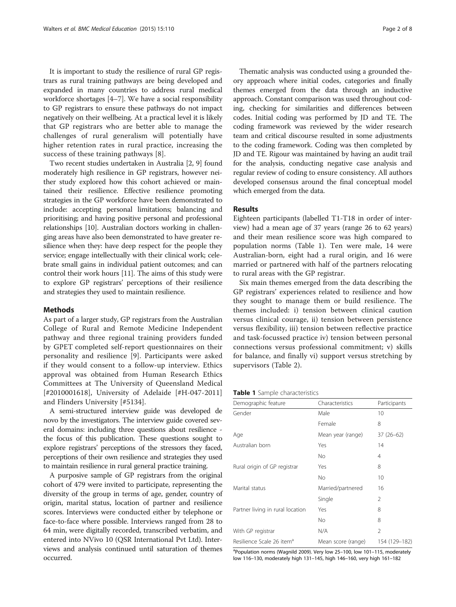It is important to study the resilience of rural GP registrars as rural training pathways are being developed and expanded in many countries to address rural medical workforce shortages [\[4](#page-6-0)–[7\]](#page-6-0). We have a social responsibility to GP registrars to ensure these pathways do not impact negatively on their wellbeing. At a practical level it is likely that GP registrars who are better able to manage the challenges of rural generalism will potentially have higher retention rates in rural practice, increasing the success of these training pathways [[8](#page-6-0)].

Two recent studies undertaken in Australia [\[2](#page-6-0), [9\]](#page-6-0) found moderately high resilience in GP registrars, however neither study explored how this cohort achieved or maintained their resilience. Effective resilience promoting strategies in the GP workforce have been demonstrated to include: accepting personal limitations; balancing and prioritising; and having positive personal and professional relationships [\[10\]](#page-6-0). Australian doctors working in challenging areas have also been demonstrated to have greater resilience when they: have deep respect for the people they service; engage intellectually with their clinical work; celebrate small gains in individual patient outcomes; and can control their work hours [[11](#page-6-0)]. The aims of this study were to explore GP registrars' perceptions of their resilience and strategies they used to maintain resilience.

#### Methods

As part of a larger study, GP registrars from the Australian College of Rural and Remote Medicine Independent pathway and three regional training providers funded by GPET completed self-report questionnaires on their personality and resilience [[9\]](#page-6-0). Participants were asked if they would consent to a follow-up interview. Ethics approval was obtained from Human Research Ethics Committees at The University of Queensland Medical [#2010001618], University of Adelaide [#H-047-2011] and Flinders University [#5134].

A semi-structured interview guide was developed de novo by the investigators. The interview guide covered several domains: including three questions about resilience the focus of this publication. These questions sought to explore registrars' perceptions of the stressors they faced, perceptions of their own resilience and strategies they used to maintain resilience in rural general practice training.

A purposive sample of GP registrars from the original cohort of 479 were invited to participate, representing the diversity of the group in terms of age, gender, country of origin, marital status, location of partner and resilience scores. Interviews were conducted either by telephone or face-to-face where possible. Interviews ranged from 28 to 64 min, were digitally recorded, transcribed verbatim, and entered into NVivo 10 (QSR International Pvt Ltd). Interviews and analysis continued until saturation of themes occurred.

Thematic analysis was conducted using a grounded theory approach where initial codes, categories and finally themes emerged from the data through an inductive approach. Constant comparison was used throughout coding, checking for similarities and differences between codes. Initial coding was performed by JD and TE. The coding framework was reviewed by the wider research team and critical discourse resulted in some adjustments to the coding framework. Coding was then completed by JD and TE. Rigour was maintained by having an audit trail for the analysis, conducting negative case analysis and regular review of coding to ensure consistency. All authors developed consensus around the final conceptual model which emerged from the data.

#### Results

Eighteen participants (labelled T1-T18 in order of interview) had a mean age of 37 years (range 26 to 62 years) and their mean resilience score was high compared to population norms (Table 1). Ten were male, 14 were Australian-born, eight had a rural origin, and 16 were married or partnered with half of the partners relocating to rural areas with the GP registrar.

Six main themes emerged from the data describing the GP registrars' experiences related to resilience and how they sought to manage them or build resilience. The themes included: i) tension between clinical caution versus clinical courage, ii) tension between persistence versus flexibility, iii) tension between reflective practice and task-focussed practice iv) tension between personal connections versus professional commitment; v) skills for balance, and finally vi) support versus stretching by supervisors (Table [2\)](#page-2-0).

**Table 1** Sample characteristics

| Demographic feature                   | Characteristics    | Participants   |
|---------------------------------------|--------------------|----------------|
| Gender                                | Male               | 10             |
|                                       | Female             | 8              |
| Age                                   | Mean year (range)  | $37(26-62)$    |
| Australian born                       | Yes                | 14             |
|                                       | <b>No</b>          | 4              |
| Rural origin of GP registrar          | Yes                | 8              |
|                                       | <b>No</b>          | 10             |
| Marital status                        | Married/partnered  | 16             |
|                                       | Single             | $\mathcal{P}$  |
| Partner living in rural location      | Yes                | 8              |
|                                       | <b>No</b>          | 8              |
| With GP registrar                     | N/A                | $\mathfrak{D}$ |
| Resilience Scale 26 item <sup>a</sup> | Mean score (range) | 154 (129–182)  |

<sup>a</sup>Population norms (Wagnild 2009). Very low 25-100, low 101-115, moderately low 116–130, moderately high 131–145, high 146–160, very high 161–182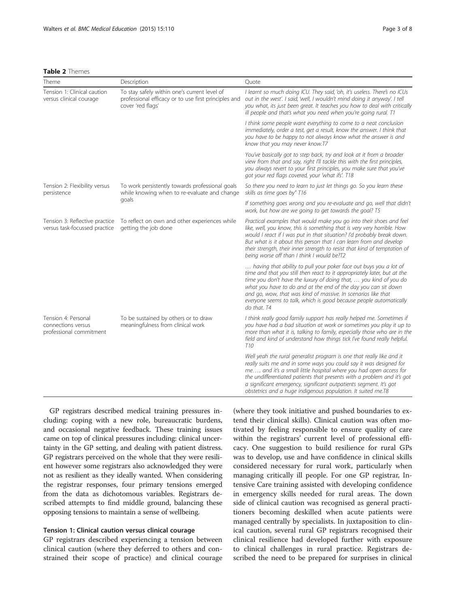#### <span id="page-2-0"></span>Table 2 Themes

| Theme                                                                | Description                                                                                                               | Quote                                                                                                                                                                                                                                                                                                                                                                                                                                      |
|----------------------------------------------------------------------|---------------------------------------------------------------------------------------------------------------------------|--------------------------------------------------------------------------------------------------------------------------------------------------------------------------------------------------------------------------------------------------------------------------------------------------------------------------------------------------------------------------------------------------------------------------------------------|
| Tension 1: Clinical caution<br>versus clinical courage               | To stay safely within one's current level of<br>professional efficacy or to use first principles and<br>cover 'red flags' | I learnt so much doing ICU. They said, 'oh, it's useless. There's no ICUs<br>out in the west'. I said, 'well, I wouldn't mind doing it anyway'. I tell<br>you what, its just been great. It teaches you how to deal with critically<br>ill people and that's what you need when you're going rural. T1                                                                                                                                     |
|                                                                      |                                                                                                                           | I think some people want everything to come to a neat conclusion<br>immediately, order a test, get a result, know the answer. I think that<br>you have to be happy to not always know what the answer is and<br>know that you may never know.T7                                                                                                                                                                                            |
|                                                                      |                                                                                                                           | You've basically got to step back, try and look at it from a broader<br>view from that and say, right I'll tackle this with the first principles,<br>you always revert to your first principles, you make sure that you've<br>got your red flags covered, your 'what ifs'. T18                                                                                                                                                             |
| Tension 2: Flexibility versus<br>persistence                         | To work persistently towards professional goals<br>while knowing when to re-evaluate and change<br>goals                  | So there you need to learn to just let things go. So you learn these<br>skills as time goes by" T16                                                                                                                                                                                                                                                                                                                                        |
|                                                                      |                                                                                                                           | If something goes wrong and you re-evaluate and go, well that didn't<br>work, but how are we going to get towards the goal? T5                                                                                                                                                                                                                                                                                                             |
| Tension 3: Reflective practice<br>versus task-focussed practice      | To reflect on own and other experiences while<br>getting the job done                                                     | Practical examples that would make you go into their shoes and feel<br>like, well, you know, this is something that is very very horrible. How<br>would I react if I was put in that situation? I'd probably break down.<br>But what is it about this person that I can learn from and develop<br>their strength, their inner strength to resist that kind of temptation of<br>being worse off than I think I would be?T2                  |
|                                                                      |                                                                                                                           | having that ability to pull your poker face out buys you a lot of<br>time and that you still then react to it appropriately later, but at the<br>time you don't have the luxury of doing that,  you kind of you do<br>what you have to do and at the end of the day you can sit down<br>and go, wow, that was kind of massive. In scenarios like that<br>everyone seems to talk, which is good because people automatically<br>do that. T4 |
| Tension 4: Personal<br>connections versus<br>professional commitment | To be sustained by others or to draw<br>meaningfulness from clinical work                                                 | I think really good family support has really helped me. Sometimes if<br>you have had a bad situation at work or sometimes you play it up to<br>more than what it is, talking to family, especially those who are in the<br>field and kind of understand how things tick I've found really helpful.<br>T <sub>10</sub>                                                                                                                     |
|                                                                      |                                                                                                                           | Well yeah the rural generalist program is one that really like and it<br>really suits me and in some ways you could say it was designed for<br>me and it's a small little hospital where you had open access for<br>the undifferentiated patients that presents with a problem and it's got<br>a significant emergency, significant outpatients segment. It's got<br>obstetrics and a huge indigenous population. It suited me.T8          |

GP registrars described medical training pressures including: coping with a new role, bureaucratic burdens, and occasional negative feedback. These training issues came on top of clinical pressures including: clinical uncertainty in the GP setting, and dealing with patient distress. GP registrars perceived on the whole that they were resilient however some registrars also acknowledged they were not as resilient as they ideally wanted. When considering the registrar responses, four primary tensions emerged from the data as dichotomous variables. Registrars described attempts to find middle ground, balancing these opposing tensions to maintain a sense of wellbeing.

#### Tension 1: Clinical caution versus clinical courage

GP registrars described experiencing a tension between clinical caution (where they deferred to others and constrained their scope of practice) and clinical courage

(where they took initiative and pushed boundaries to extend their clinical skills). Clinical caution was often motivated by feeling responsible to ensure quality of care within the registrars' current level of professional efficacy. One suggestion to build resilience for rural GPs was to develop, use and have confidence in clinical skills considered necessary for rural work, particularly when managing critically ill people. For one GP registrar, Intensive Care training assisted with developing confidence in emergency skills needed for rural areas. The down side of clinical caution was recognised as general practitioners becoming deskilled when acute patients were managed centrally by specialists. In juxtaposition to clinical caution, several rural GP registrars recognised their clinical resilience had developed further with exposure to clinical challenges in rural practice. Registrars described the need to be prepared for surprises in clinical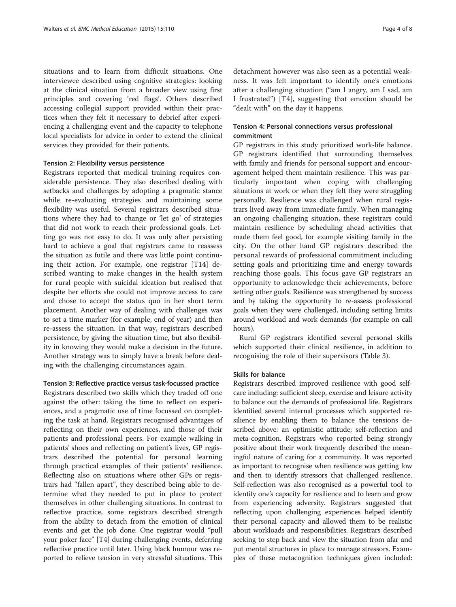situations and to learn from difficult situations. One interviewee described using cognitive strategies: looking at the clinical situation from a broader view using first principles and covering 'red flags'. Others described accessing collegial support provided within their practices when they felt it necessary to debrief after experiencing a challenging event and the capacity to telephone local specialists for advice in order to extend the clinical services they provided for their patients.

#### Tension 2: Flexibility versus persistence

Registrars reported that medical training requires considerable persistence. They also described dealing with setbacks and challenges by adopting a pragmatic stance while re-evaluating strategies and maintaining some flexibility was useful. Several registrars described situations where they had to change or 'let go' of strategies that did not work to reach their professional goals. Letting go was not easy to do. It was only after persisting hard to achieve a goal that registrars came to reassess the situation as futile and there was little point continuing their action. For example, one registrar [T14] described wanting to make changes in the health system for rural people with suicidal ideation but realised that despite her efforts she could not improve access to care and chose to accept the status quo in her short term placement. Another way of dealing with challenges was to set a time marker (for example, end of year) and then re-assess the situation. In that way, registrars described persistence, by giving the situation time, but also flexibility in knowing they would make a decision in the future. Another strategy was to simply have a break before dealing with the challenging circumstances again.

#### Tension 3: Reflective practice versus task-focussed practice

Registrars described two skills which they traded off one against the other: taking the time to reflect on experiences, and a pragmatic use of time focussed on completing the task at hand. Registrars recognised advantages of reflecting on their own experiences, and those of their patients and professional peers. For example walking in patients' shoes and reflecting on patient's lives, GP registrars described the potential for personal learning through practical examples of their patients' resilience. Reflecting also on situations where other GPs or registrars had "fallen apart", they described being able to determine what they needed to put in place to protect themselves in other challenging situations. In contrast to reflective practice, some registrars described strength from the ability to detach from the emotion of clinical events and get the job done. One registrar would "pull your poker face" [T4] during challenging events, deferring reflective practice until later. Using black humour was reported to relieve tension in very stressful situations. This

detachment however was also seen as a potential weakness. It was felt important to identify one's emotions after a challenging situation ("am I angry, am I sad, am I frustrated") [T4], suggesting that emotion should be "dealt with" on the day it happens.

## Tension 4: Personal connections versus professional commitment

GP registrars in this study prioritized work-life balance. GP registrars identified that surrounding themselves with family and friends for personal support and encouragement helped them maintain resilience. This was particularly important when coping with challenging situations at work or when they felt they were struggling personally. Resilience was challenged when rural registrars lived away from immediate family. When managing an ongoing challenging situation, these registrars could maintain resilience by scheduling ahead activities that made them feel good, for example visiting family in the city. On the other hand GP registrars described the personal rewards of professional commitment including setting goals and prioritizing time and energy towards reaching those goals. This focus gave GP registrars an opportunity to acknowledge their achievements, before setting other goals. Resilience was strengthened by success and by taking the opportunity to re-assess professional goals when they were challenged, including setting limits around workload and work demands (for example on call hours).

Rural GP registrars identified several personal skills which supported their clinical resilience, in addition to recognising the role of their supervisors (Table [3](#page-4-0)).

## Skills for balance

Registrars described improved resilience with good selfcare including: sufficient sleep, exercise and leisure activity to balance out the demands of professional life. Registrars identified several internal processes which supported resilience by enabling them to balance the tensions described above: an optimistic attitude; self-reflection and meta-cognition. Registrars who reported being strongly positive about their work frequently described the meaningful nature of caring for a community. It was reported as important to recognise when resilience was getting low and then to identify stressors that challenged resilience. Self-reflection was also recognised as a powerful tool to identify one's capacity for resilience and to learn and grow from experiencing adversity. Registrars suggested that reflecting upon challenging experiences helped identify their personal capacity and allowed them to be realistic about workloads and responsibilities. Registrars described seeking to step back and view the situation from afar and put mental structures in place to manage stressors. Examples of these metacognition techniques given included: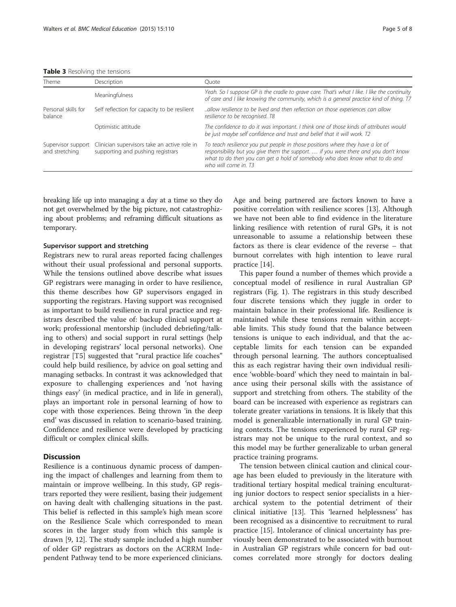<span id="page-4-0"></span>Table 3 Resolving the tensions

| Theme                                | Description                                                                       | Ouote                                                                                                                                                                                                                                                                        |
|--------------------------------------|-----------------------------------------------------------------------------------|------------------------------------------------------------------------------------------------------------------------------------------------------------------------------------------------------------------------------------------------------------------------------|
|                                      | Meaningfulness                                                                    | Yeah. So I suppose GP is the cradle to grave care. That's what I like. I like the continuity<br>of care and I like knowing the community, which is a general practice kind of thing. T7                                                                                      |
| Personal skills for<br>balance       | Self reflection for capacity to be resilient                                      | allow resilience to be lived and then reflection on those experiences can allow.<br>resilience to be recognised. T8                                                                                                                                                          |
|                                      | Optimistic attitude                                                               | The confidence to do it was important. I think one of those kinds of attributes would<br>be just maybe self confidence and trust and belief that it will work. T2                                                                                                            |
| Supervisor support<br>and stretching | Clinician supervisors take an active role in<br>supporting and pushing registrars | To teach resilience you put people in those positions where they have a lot of<br>responsibility but you give them the support.  if you were there and you don't know<br>what to do then you can get a hold of somebody who does know what to do and<br>who will come in. T3 |

breaking life up into managing a day at a time so they do not get overwhelmed by the big picture, not catastrophizing about problems; and reframing difficult situations as temporary.

#### Supervisor support and stretching

Registrars new to rural areas reported facing challenges without their usual professional and personal supports. While the tensions outlined above describe what issues GP registrars were managing in order to have resilience, this theme describes how GP supervisors engaged in supporting the registrars. Having support was recognised as important to build resilience in rural practice and registrars described the value of: backup clinical support at work; professional mentorship (included debriefing/talking to others) and social support in rural settings (help in developing registrars' local personal networks). One registrar [T5] suggested that "rural practice life coaches" could help build resilience, by advice on goal setting and managing setbacks. In contrast it was acknowledged that exposure to challenging experiences and 'not having things easy' (in medical practice, and in life in general), plays an important role in personal learning of how to cope with those experiences. Being thrown 'in the deep end' was discussed in relation to scenario-based training. Confidence and resilience were developed by practicing difficult or complex clinical skills.

## **Discussion**

Resilience is a continuous dynamic process of dampening the impact of challenges and learning from them to maintain or improve wellbeing. In this study, GP registrars reported they were resilient, basing their judgement on having dealt with challenging situations in the past. This belief is reflected in this sample's high mean score on the Resilience Scale which corresponded to mean scores in the larger study from which this sample is drawn [\[9](#page-6-0), [12](#page-6-0)]. The study sample included a high number of older GP registrars as doctors on the ACRRM Independent Pathway tend to be more experienced clinicians.

Age and being partnered are factors known to have a positive correlation with resilience scores [[13](#page-6-0)]. Although we have not been able to find evidence in the literature linking resilience with retention of rural GPs, it is not unreasonable to assume a relationship between these factors as there is clear evidence of the reverse – that burnout correlates with high intention to leave rural practice [\[14\]](#page-6-0).

This paper found a number of themes which provide a conceptual model of resilience in rural Australian GP registrars (Fig. [1\)](#page-5-0). The registrars in this study described four discrete tensions which they juggle in order to maintain balance in their professional life. Resilience is maintained while these tensions remain within acceptable limits. This study found that the balance between tensions is unique to each individual, and that the acceptable limits for each tension can be expanded through personal learning. The authors conceptualised this as each registrar having their own individual resilience 'wobble-board' which they need to maintain in balance using their personal skills with the assistance of support and stretching from others. The stability of the board can be increased with experience as registrars can tolerate greater variations in tensions. It is likely that this model is generalizable internationally in rural GP training contexts. The tensions experienced by rural GP registrars may not be unique to the rural context, and so this model may be further generalizable to urban general practice training programs.

The tension between clinical caution and clinical courage has been eluded to previously in the literature with traditional tertiary hospital medical training enculturating junior doctors to respect senior specialists in a hierarchical system to the potential detriment of their clinical initiative [\[13\]](#page-6-0). This 'learned helplessness' has been recognised as a disincentive to recruitment to rural practice [\[15](#page-7-0)]. Intolerance of clinical uncertainty has previously been demonstrated to be associated with burnout in Australian GP registrars while concern for bad outcomes correlated more strongly for doctors dealing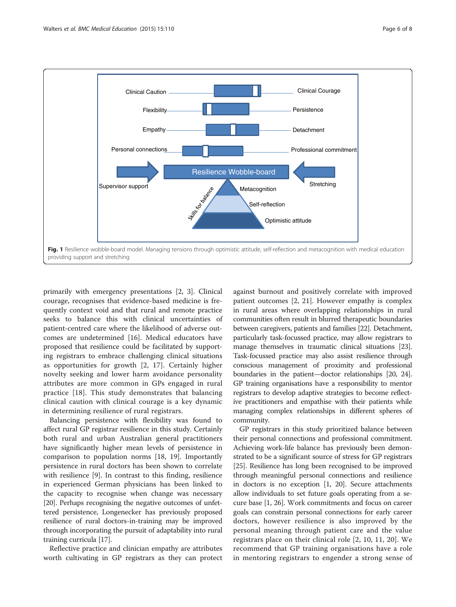<span id="page-5-0"></span>

primarily with emergency presentations [[2](#page-6-0), [3](#page-6-0)]. Clinical courage, recognises that evidence-based medicine is frequently context void and that rural and remote practice seeks to balance this with clinical uncertainties of patient-centred care where the likelihood of adverse outcomes are undetermined [\[16\]](#page-7-0). Medical educators have proposed that resilience could be facilitated by supporting registrars to embrace challenging clinical situations as opportunities for growth [\[2](#page-6-0), [17\]](#page-7-0). Certainly higher novelty seeking and lower harm avoidance personality attributes are more common in GPs engaged in rural practice [[18\]](#page-7-0). This study demonstrates that balancing clinical caution with clinical courage is a key dynamic in determining resilience of rural registrars.

Balancing persistence with flexibility was found to affect rural GP registrar resilience in this study. Certainly both rural and urban Australian general practitioners have significantly higher mean levels of persistence in comparison to population norms [\[18](#page-7-0), [19\]](#page-7-0). Importantly persistence in rural doctors has been shown to correlate with resilience [\[9](#page-6-0)]. In contrast to this finding, resilience in experienced German physicians has been linked to the capacity to recognise when change was necessary [[20](#page-7-0)]. Perhaps recognising the negative outcomes of unfettered persistence, Longenecker has previously proposed resilience of rural doctors-in-training may be improved through incorporating the pursuit of adaptability into rural training curricula [[17](#page-7-0)].

Reflective practice and clinician empathy are attributes worth cultivating in GP registrars as they can protect against burnout and positively correlate with improved patient outcomes [[2,](#page-6-0) [21\]](#page-7-0). However empathy is complex in rural areas where overlapping relationships in rural communities often result in blurred therapeutic boundaries between caregivers, patients and families [[22](#page-7-0)]. Detachment, particularly task-focussed practice, may allow registrars to manage themselves in traumatic clinical situations [\[23](#page-7-0)]. Task-focussed practice may also assist resilience through conscious management of proximity and professional boundaries in the patient—doctor relationships [[20](#page-7-0), [24](#page-7-0)]. GP training organisations have a responsibility to mentor registrars to develop adaptive strategies to become reflective practitioners and empathise with their patients while managing complex relationships in different spheres of community.

GP registrars in this study prioritized balance between their personal connections and professional commitment. Achieving work-life balance has previously been demonstrated to be a significant source of stress for GP registrars [[25](#page-7-0)]. Resilience has long been recognised to be improved through meaningful personal connections and resilience in doctors is no exception [\[1,](#page-6-0) [20\]](#page-7-0). Secure attachments allow individuals to set future goals operating from a secure base [\[1](#page-6-0), [26](#page-7-0)]. Work commitments and focus on career goals can constrain personal connections for early career doctors, however resilience is also improved by the personal meaning through patient care and the value registrars place on their clinical role [\[2](#page-6-0), [10, 11](#page-6-0), [20\]](#page-7-0). We recommend that GP training organisations have a role in mentoring registrars to engender a strong sense of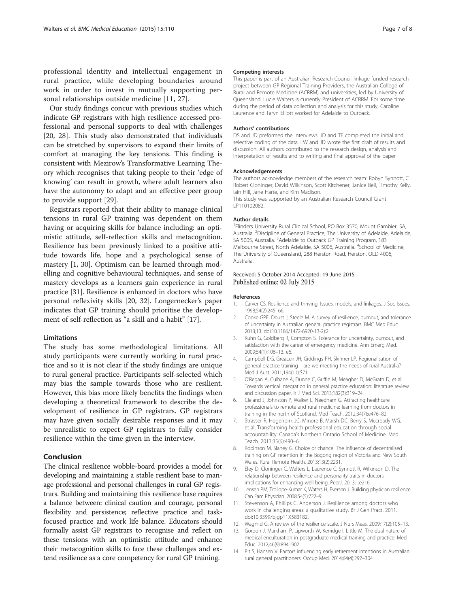<span id="page-6-0"></span>professional identity and intellectual engagement in rural practice, while developing boundaries around work in order to invest in mutually supporting personal relationships outside medicine [11, [27](#page-7-0)].

Our study findings concur with previous studies which indicate GP registrars with high resilience accessed professional and personal supports to deal with challenges [[20, 28](#page-7-0)]. This study also demonstrated that individuals can be stretched by supervisors to expand their limits of comfort at managing the key tensions. This finding is consistent with Mezirow's Transformative Learning Theory which recognises that taking people to their 'edge of knowing' can result in growth, where adult learners also have the autonomy to adapt and an effective peer group to provide support [\[29\]](#page-7-0).

Registrars reported that their ability to manage clinical tensions in rural GP training was dependent on them having or acquiring skills for balance including: an optimistic attitude, self-reflection skills and metacognition. Resilience has been previously linked to a positive attitude towards life, hope and a psychological sense of mastery [1, [30](#page-7-0)]. Optimism can be learned through modelling and cognitive behavioural techniques, and sense of mastery develops as a learners gain experience in rural practice [[31\]](#page-7-0). Resilience is enhanced in doctors who have personal reflexivity skills [[20, 32\]](#page-7-0). Longernecker's paper indicates that GP training should prioritise the development of self-reflection as "a skill and a habit" [[17](#page-7-0)].

#### Limitations

The study has some methodological limitations. All study participants were currently working in rural practice and so it is not clear if the study findings are unique to rural general practice. Participants self-selected which may bias the sample towards those who are resilient. However, this bias more likely benefits the findings when developing a theoretical framework to describe the development of resilience in GP registrars. GP registrars may have given socially desirable responses and it may be unrealistic to expect GP registrars to fully consider resilience within the time given in the interview.

## Conclusion

The clinical resilience wobble-board provides a model for developing and maintaining a stable resilient base to manage professional and personal challenges in rural GP registrars. Building and maintaining this resilience base requires a balance between: clinical caution and courage, personal flexibility and persistence; reflective practice and taskfocused practice and work life balance. Educators should formally assist GP registrars to recognise and reflect on these tensions with an optimistic attitude and enhance their metacognition skills to face these challenges and extend resilience as a core competency for rural GP training.

#### Competing interests

This paper is part of an Australian Research Council linkage funded research project between GP Regional Training Providers, the Australian College of Rural and Remote Medicine (ACRRM) and universities, led by University of Queensland. Lucie Walters is currently President of ACRRM. For some time during the period of data collection and analysis for this study, Caroline Laurence and Taryn Elliott worked for Adelaide to Outback.

#### Authors' contributions

DS and JD preformed the interviews. JD and TE completed the initial and selective coding of the data. LW and JD wrote the first draft of results and discussion. All authors contributed to the research design, analysis and interpretation of results and to writing and final approval of the paper

#### Acknowledgements

The authors acknowledge members of the research team: Robyn Synnott, C Robert Cloninger, David Wilkinson, Scott Kitchener, Janice Bell, Timothy Kelly, Iain Hill, Jane Harte, and Kim Madison.

This study was supported by an Australian Research Council Grant LP110102082.

#### Author details

<sup>1</sup> Flinders University Rural Clinical School, PO Box 3570, Mount Gambier, SA, Australia. <sup>2</sup>Discipline of General Practice, The University of Adelaide, Adelaide, SA 5005, Australia. <sup>3</sup>Adelaide to Outback GP Training Program, 183 Melbourne Street, North Adelaide, SA 5006, Australia. <sup>4</sup>School of Medicine, The University of Queensland, 288 Herston Road, Herston, QLD 4006, Australia.

#### Received: 5 October 2014 Accepted: 19 June 2015 Published online: 02 July 2015

#### References

- 1. Carver CS. Resilience and thriving: Issues, models, and linkages. J Soc Issues. 1998;54(2):245–66.
- 2. Cooke GPE, Doust J, Steele M. A survey of resilience, burnout, and tolerance of uncertainty in Australian general practice registrars. BMC Med Educ. 2013;13. doi[:10.1186/1472-6920-13-2\):2](http://dx.doi.org/10.1186/1472-6920-13-2):2).
- 3. Kuhn G, Goldberg R, Compton S. Tolerance for uncertainty, burnout, and satisfaction with the career of emergency medicine. Ann Emerg Med. 2009;54(1):106–13. e6.
- 4. Campbell DG, Greacen JH, Giddings PH, Skinner LP. Regionalisation of general practice training—are we meeting the needs of rural Australia? Med J Aust. 2011;194(11):S71.
- 5. O'Regan A, Culhane A, Dunne C, Griffin M, Meagher D, McGrath D, et al. Towards vertical integration in general practice education: literature review and discussion paper. Ir J Med Sci. 2013;182(3):319–24.
- 6. Cleland J, Johnston P, Walker L, Needham G. Attracting healthcare professionals to remote and rural medicine: learning from doctors in training in the north of Scotland. Med Teach. 2012;34(7):e476–82.
- 7. Strasser R, Hogenbirk JC, Minore B, Marsh DC, Berry S, Mccready WG, et al. Transforming health professional education through social accountability: Canada's Northern Ontario School of Medicine. Med Teach. 2013;35(6):490–6.
- 8. Robinson M, Slaney G. Choice or chance! The influence of decentralised training on GP retention in the Bogong region of Victoria and New South Wales. Rural Remote Health. 2013;13(2):2231.
- 9. Eley D, Cloninger C, Walters L, Laurence C, Synnott R, Wilkinson D. The relationship between resilience and personality traits in doctors: implications for enhancing well being. PeerJ. 2013;1:e216.
- 10. Jensen PM, Trollope-Kumar K, Waters H, Everson J. Building physician resilience. Can Fam Physician. 2008;54(5):722–9.
- 11. Stevenson A, Phillips C, Anderson J. Resilience among doctors who work in challenging areas: a qualitative study. Br J Gen Pract. 2011. doi:[10.3399/bjgp11X583182](http://dx.doi.org/10.3399/bjgp11X583182).
- 12. Wagnild G. A review of the resilience scale. J Nurs Meas. 2009;17(2):105–13.
- 13. Gordon J, Markham P, Lipworth W, Kerridge I, Little M. The dual nature of medical enculturation in postgraduate medical training and practice. Med Educ. 2012;46(9):894–902.
- 14. Pit S, Hansen V. Factors influencing early retirement intentions in Australian rural general practitioners. Occup Med. 2014;64(4):297–304.